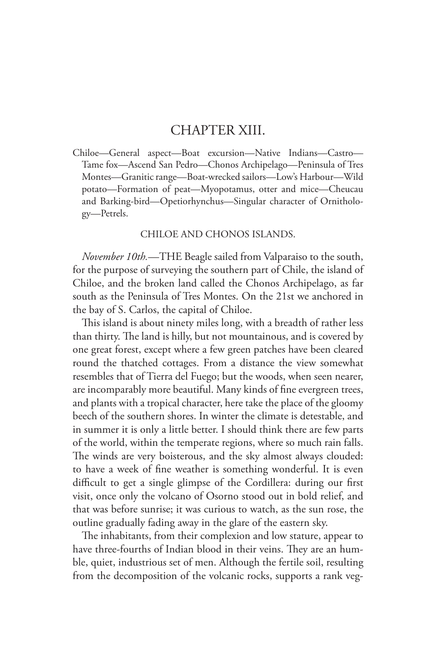## CHAPTER XIII.

Chiloe—General aspect—Boat excursion—Native Indians—Castro— Tame fox—Ascend San Pedro—Chonos Archipelago—Peninsula of Tres Montes—Granitic range—Boat-wrecked sailors—Low's Harbour—Wild potato—Formation of peat—Myopotamus, otter and mice—Cheucau and Barking-bird—Opetiorhynchus—Singular character of Ornithology—Petrels.

## CHILOE AND CHONOS ISLANDS.

*November 10th.*—THE Beagle sailed from Valparaiso to the south, for the purpose of surveying the southern part of Chile, the island of Chiloe, and the broken land called the Chonos Archipelago, as far south as the Peninsula of Tres Montes. On the 21st we anchored in the bay of S. Carlos, the capital of Chiloe.

This island is about ninety miles long, with a breadth of rather less than thirty. The land is hilly, but not mountainous, and is covered by one great forest, except where a few green patches have been cleared round the thatched cottages. From a distance the view somewhat resembles that of Tierra del Fuego; but the woods, when seen nearer, are incomparably more beautiful. Many kinds of fine evergreen trees, and plants with a tropical character, here take the place of the gloomy beech of the southern shores. In winter the climate is detestable, and in summer it is only a little better. I should think there are few parts of the world, within the temperate regions, where so much rain falls. The winds are very boisterous, and the sky almost always clouded: to have a week of fine weather is something wonderful. It is even difficult to get a single glimpse of the Cordillera: during our first visit, once only the volcano of Osorno stood out in bold relief, and that was before sunrise; it was curious to watch, as the sun rose, the outline gradually fading away in the glare of the eastern sky.

The inhabitants, from their complexion and low stature, appear to have three-fourths of Indian blood in their veins. They are an humble, quiet, industrious set of men. Although the fertile soil, resulting from the decomposition of the volcanic rocks, supports a rank veg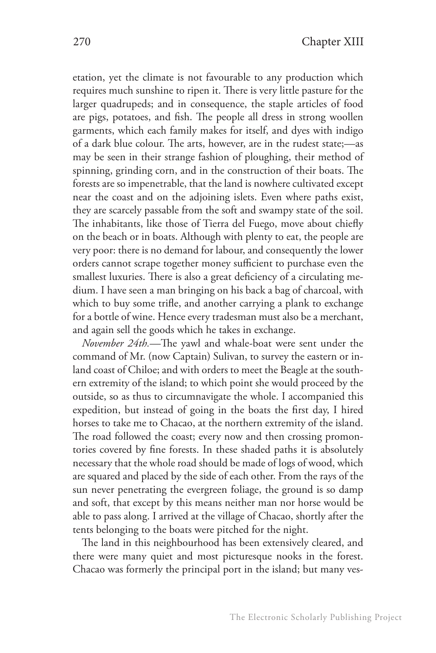etation, yet the climate is not favourable to any production which requires much sunshine to ripen it. There is very little pasture for the larger quadrupeds; and in consequence, the staple articles of food are pigs, potatoes, and fish. The people all dress in strong woollen garments, which each family makes for itself, and dyes with indigo of a dark blue colour. The arts, however, are in the rudest state;—as may be seen in their strange fashion of ploughing, their method of spinning, grinding corn, and in the construction of their boats. The forests are so impenetrable, that the land is nowhere cultivated except near the coast and on the adjoining islets. Even where paths exist, they are scarcely passable from the soft and swampy state of the soil. The inhabitants, like those of Tierra del Fuego, move about chiefly on the beach or in boats. Although with plenty to eat, the people are very poor: there is no demand for labour, and consequently the lower orders cannot scrape together money sufficient to purchase even the smallest luxuries. There is also a great deficiency of a circulating medium. I have seen a man bringing on his back a bag of charcoal, with which to buy some trifle, and another carrying a plank to exchange for a bottle of wine. Hence every tradesman must also be a merchant, and again sell the goods which he takes in exchange.

*November 24th.*—The yawl and whale-boat were sent under the command of Mr. (now Captain) Sulivan, to survey the eastern or inland coast of Chiloe; and with orders to meet the Beagle at the southern extremity of the island; to which point she would proceed by the outside, so as thus to circumnavigate the whole. I accompanied this expedition, but instead of going in the boats the first day, I hired horses to take me to Chacao, at the northern extremity of the island. The road followed the coast; every now and then crossing promontories covered by fine forests. In these shaded paths it is absolutely necessary that the whole road should be made of logs of wood, which are squared and placed by the side of each other. From the rays of the sun never penetrating the evergreen foliage, the ground is so damp and soft, that except by this means neither man nor horse would be able to pass along. I arrived at the village of Chacao, shortly after the tents belonging to the boats were pitched for the night.

The land in this neighbourhood has been extensively cleared, and there were many quiet and most picturesque nooks in the forest. Chacao was formerly the principal port in the island; but many ves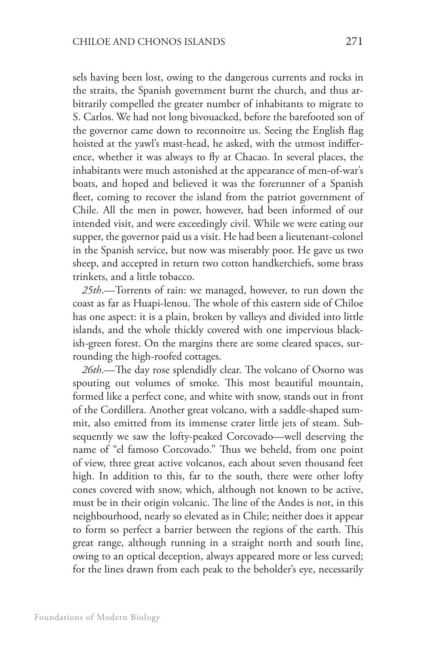sels having been lost, owing to the dangerous currents and rocks in the straits, the Spanish government burnt the church, and thus arbitrarily compelled the greater number of inhabitants to migrate to S. Carlos. We had not long bivouacked, before the barefooted son of the governor came down to reconnoitre us. Seeing the English flag hoisted at the yawl's mast-head, he asked, with the utmost indifference, whether it was always to fly at Chacao. In several places, the inhabitants were much astonished at the appearance of men-of-war's boats, and hoped and believed it was the forerunner of a Spanish fleet, coming to recover the island from the patriot government of Chile. All the men in power, however, had been informed of our intended visit, and were exceedingly civil. While we were eating our supper, the governor paid us a visit. He had been a lieutenant-colonel in the Spanish service, but now was miserably poor. He gave us two sheep, and accepted in return two cotton handkerchiefs, some brass trinkets, and a little tobacco.

*25th*.—Torrents of rain: we managed, however, to run down the coast as far as Huapi-lenou. The whole of this eastern side of Chiloe has one aspect: it is a plain, broken by valleys and divided into little islands, and the whole thickly covered with one impervious blackish-green forest. On the margins there are some cleared spaces, surrounding the high-roofed cottages.

*26th*.—The day rose splendidly clear. The volcano of Osorno was spouting out volumes of smoke. This most beautiful mountain, formed like a perfect cone, and white with snow, stands out in front of the Cordillera. Another great volcano, with a saddle-shaped summit, also emitted from its immense crater little jets of steam. Subsequently we saw the lofty-peaked Corcovado—well deserving the name of "el famoso Corcovado." Thus we beheld, from one point of view, three great active volcanos, each about seven thousand feet high. In addition to this, far to the south, there were other lofty cones covered with snow, which, although not known to be active, must be in their origin volcanic. The line of the Andes is not, in this neighbourhood, nearly so elevated as in Chile; neither does it appear to form so perfect a barrier between the regions of the earth. This great range, although running in a straight north and south line, owing to an optical deception, always appeared more or less curved; for the lines drawn from each peak to the beholder's eye, necessarily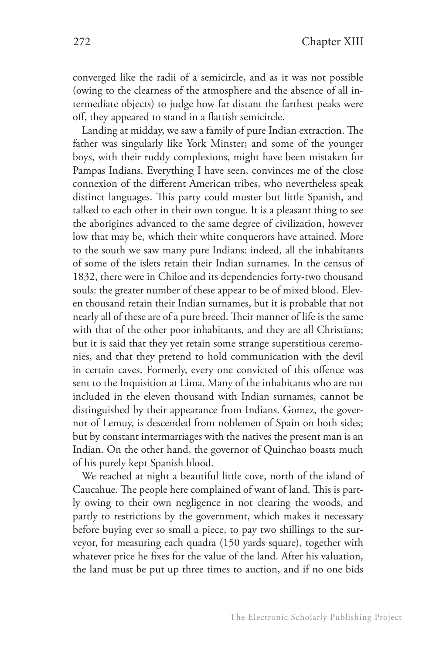converged like the radii of a semicircle, and as it was not possible (owing to the clearness of the atmosphere and the absence of all intermediate objects) to judge how far distant the farthest peaks were off, they appeared to stand in a flattish semicircle.

Landing at midday, we saw a family of pure Indian extraction. The father was singularly like York Minster; and some of the younger boys, with their ruddy complexions, might have been mistaken for Pampas Indians. Everything I have seen, convinces me of the close connexion of the different American tribes, who nevertheless speak distinct languages. This party could muster but little Spanish, and talked to each other in their own tongue. It is a pleasant thing to see the aborigines advanced to the same degree of civilization, however low that may be, which their white conquerors have attained. More to the south we saw many pure Indians: indeed, all the inhabitants of some of the islets retain their Indian surnames. In the census of 1832, there were in Chiloe and its dependencies forty-two thousand souls: the greater number of these appear to be of mixed blood. Eleven thousand retain their Indian surnames, but it is probable that not nearly all of these are of a pure breed. Their manner of life is the same with that of the other poor inhabitants, and they are all Christians; but it is said that they yet retain some strange superstitious ceremonies, and that they pretend to hold communication with the devil in certain caves. Formerly, every one convicted of this offence was sent to the Inquisition at Lima. Many of the inhabitants who are not included in the eleven thousand with Indian surnames, cannot be distinguished by their appearance from Indians. Gomez, the governor of Lemuy, is descended from noblemen of Spain on both sides; but by constant intermarriages with the natives the present man is an Indian. On the other hand, the governor of Quinchao boasts much of his purely kept Spanish blood.

We reached at night a beautiful little cove, north of the island of Caucahue. The people here complained of want of land. This is partly owing to their own negligence in not clearing the woods, and partly to restrictions by the government, which makes it necessary before buying ever so small a piece, to pay two shillings to the surveyor, for measuring each quadra (150 yards square), together with whatever price he fixes for the value of the land. After his valuation, the land must be put up three times to auction, and if no one bids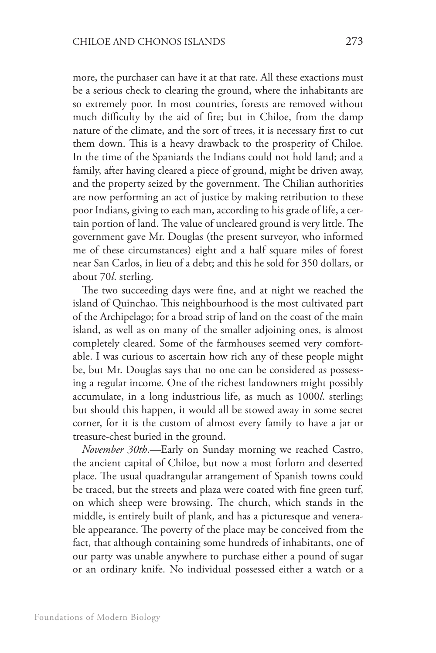more, the purchaser can have it at that rate. All these exactions must be a serious check to clearing the ground, where the inhabitants are so extremely poor. In most countries, forests are removed without much difficulty by the aid of fire; but in Chiloe, from the damp nature of the climate, and the sort of trees, it is necessary first to cut them down. This is a heavy drawback to the prosperity of Chiloe. In the time of the Spaniards the Indians could not hold land; and a family, after having cleared a piece of ground, might be driven away, and the property seized by the government. The Chilian authorities are now performing an act of justice by making retribution to these poor Indians, giving to each man, according to his grade of life, a certain portion of land. The value of uncleared ground is very little. The government gave Mr. Douglas (the present surveyor, who informed me of these circumstances) eight and a half square miles of forest near San Carlos, in lieu of a debt; and this he sold for 350 dollars, or about 70*l*. sterling.

The two succeeding days were fine, and at night we reached the island of Quinchao. This neighbourhood is the most cultivated part of the Archipelago; for a broad strip of land on the coast of the main island, as well as on many of the smaller adjoining ones, is almost completely cleared. Some of the farmhouses seemed very comfortable. I was curious to ascertain how rich any of these people might be, but Mr. Douglas says that no one can be considered as possessing a regular income. One of the richest landowners might possibly accumulate, in a long industrious life, as much as 1000*l*. sterling; but should this happen, it would all be stowed away in some secret corner, for it is the custom of almost every family to have a jar or treasure-chest buried in the ground.

*November 30th*.—Early on Sunday morning we reached Castro, the ancient capital of Chiloe, but now a most forlorn and deserted place. The usual quadrangular arrangement of Spanish towns could be traced, but the streets and plaza were coated with fine green turf, on which sheep were browsing. The church, which stands in the middle, is entirely built of plank, and has a picturesque and venerable appearance. The poverty of the place may be conceived from the fact, that although containing some hundreds of inhabitants, one of our party was unable anywhere to purchase either a pound of sugar or an ordinary knife. No individual possessed either a watch or a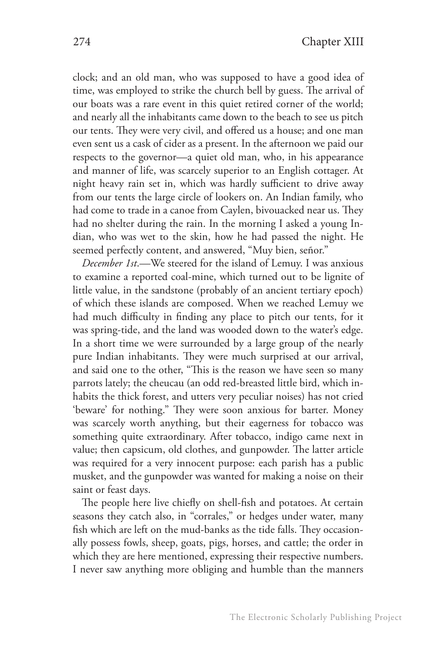clock; and an old man, who was supposed to have a good idea of time, was employed to strike the church bell by guess. The arrival of our boats was a rare event in this quiet retired corner of the world; and nearly all the inhabitants came down to the beach to see us pitch our tents. They were very civil, and offered us a house; and one man even sent us a cask of cider as a present. In the afternoon we paid our respects to the governor—a quiet old man, who, in his appearance and manner of life, was scarcely superior to an English cottager. At night heavy rain set in, which was hardly sufficient to drive away from our tents the large circle of lookers on. An Indian family, who had come to trade in a canoe from Caylen, bivouacked near us. They had no shelter during the rain. In the morning I asked a young Indian, who was wet to the skin, how he had passed the night. He seemed perfectly content, and answered, "Muy bien, señor."

*December 1st*.—We steered for the island of Lemuy. I was anxious to examine a reported coal-mine, which turned out to be lignite of little value, in the sandstone (probably of an ancient tertiary epoch) of which these islands are composed. When we reached Lemuy we had much difficulty in finding any place to pitch our tents, for it was spring-tide, and the land was wooded down to the water's edge. In a short time we were surrounded by a large group of the nearly pure Indian inhabitants. They were much surprised at our arrival, and said one to the other, "This is the reason we have seen so many parrots lately; the cheucau (an odd red-breasted little bird, which inhabits the thick forest, and utters very peculiar noises) has not cried 'beware' for nothing." They were soon anxious for barter. Money was scarcely worth anything, but their eagerness for tobacco was something quite extraordinary. After tobacco, indigo came next in value; then capsicum, old clothes, and gunpowder. The latter article was required for a very innocent purpose: each parish has a public musket, and the gunpowder was wanted for making a noise on their saint or feast days.

The people here live chiefly on shell-fish and potatoes. At certain seasons they catch also, in "corrales," or hedges under water, many fish which are left on the mud-banks as the tide falls. They occasionally possess fowls, sheep, goats, pigs, horses, and cattle; the order in which they are here mentioned, expressing their respective numbers. I never saw anything more obliging and humble than the manners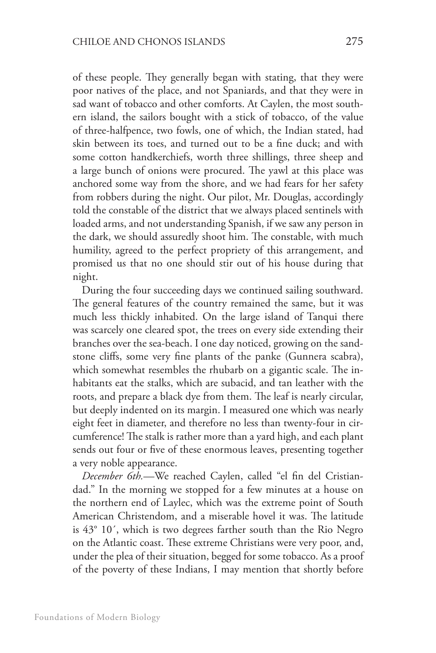of these people. They generally began with stating, that they were poor natives of the place, and not Spaniards, and that they were in sad want of tobacco and other comforts. At Caylen, the most southern island, the sailors bought with a stick of tobacco, of the value of three-halfpence, two fowls, one of which, the Indian stated, had skin between its toes, and turned out to be a fine duck; and with some cotton handkerchiefs, worth three shillings, three sheep and a large bunch of onions were procured. The yawl at this place was anchored some way from the shore, and we had fears for her safety from robbers during the night. Our pilot, Mr. Douglas, accordingly told the constable of the district that we always placed sentinels with loaded arms, and not understanding Spanish, if we saw any person in the dark, we should assuredly shoot him. The constable, with much humility, agreed to the perfect propriety of this arrangement, and promised us that no one should stir out of his house during that night.

During the four succeeding days we continued sailing southward. The general features of the country remained the same, but it was much less thickly inhabited. On the large island of Tanqui there was scarcely one cleared spot, the trees on every side extending their branches over the sea-beach. I one day noticed, growing on the sandstone cliffs, some very fine plants of the panke (Gunnera scabra), which somewhat resembles the rhubarb on a gigantic scale. The inhabitants eat the stalks, which are subacid, and tan leather with the roots, and prepare a black dye from them. The leaf is nearly circular, but deeply indented on its margin. I measured one which was nearly eight feet in diameter, and therefore no less than twenty-four in circumference! The stalk is rather more than a yard high, and each plant sends out four or five of these enormous leaves, presenting together a very noble appearance.

*December 6th.*—We reached Caylen, called "el fin del Cristiandad." In the morning we stopped for a few minutes at a house on the northern end of Laylec, which was the extreme point of South American Christendom, and a miserable hovel it was. The latitude is 43° 10´, which is two degrees farther south than the Rio Negro on the Atlantic coast. These extreme Christians were very poor, and, under the plea of their situation, begged for some tobacco. As a proof of the poverty of these Indians, I may mention that shortly before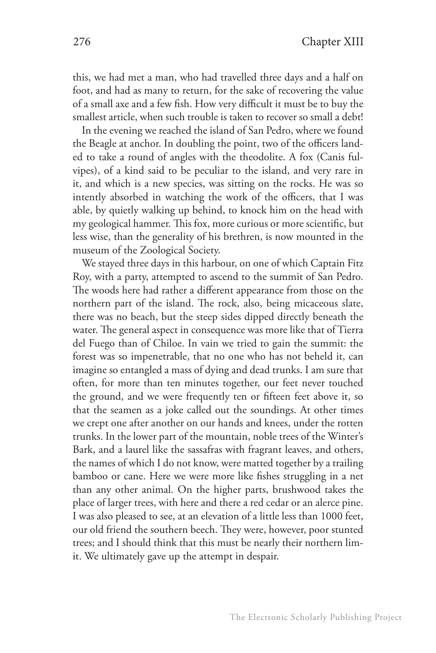this, we had met a man, who had travelled three days and a half on foot, and had as many to return, for the sake of recovering the value of a small axe and a few fish. How very difficult it must be to buy the smallest article, when such trouble is taken to recover so small a debt!

In the evening we reached the island of San Pedro, where we found the Beagle at anchor. In doubling the point, two of the officers landed to take a round of angles with the theodolite. A fox (Canis fulvipes), of a kind said to be peculiar to the island, and very rare in it, and which is a new species, was sitting on the rocks. He was so intently absorbed in watching the work of the officers, that I was able, by quietly walking up behind, to knock him on the head with my geological hammer. This fox, more curious or more scientific, but less wise, than the generality of his brethren, is now mounted in the museum of the Zoological Society.

We stayed three days in this harbour, on one of which Captain Fitz Roy, with a party, attempted to ascend to the summit of San Pedro. The woods here had rather a different appearance from those on the northern part of the island. The rock, also, being micaceous slate, there was no beach, but the steep sides dipped directly beneath the water. The general aspect in consequence was more like that of Tierra del Fuego than of Chiloe. In vain we tried to gain the summit: the forest was so impenetrable, that no one who has not beheld it, can imagine so entangled a mass of dying and dead trunks. I am sure that often, for more than ten minutes together, our feet never touched the ground, and we were frequently ten or fifteen feet above it, so that the seamen as a joke called out the soundings. At other times we crept one after another on our hands and knees, under the rotten trunks. In the lower part of the mountain, noble trees of the Winter's Bark, and a laurel like the sassafras with fragrant leaves, and others, the names of which I do not know, were matted together by a trailing bamboo or cane. Here we were more like fishes struggling in a net than any other animal. On the higher parts, brushwood takes the place of larger trees, with here and there a red cedar or an alerce pine. I was also pleased to see, at an elevation of a little less than 1000 feet, our old friend the southern beech. They were, however, poor stunted trees; and I should think that this must be nearly their northern limit. We ultimately gave up the attempt in despair.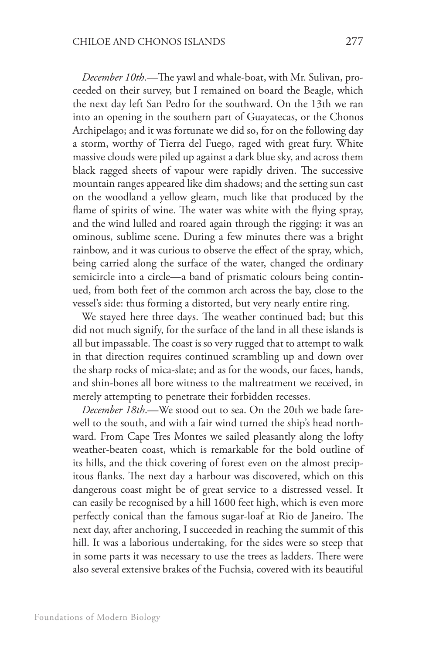*December 10th*.—The yawl and whale-boat, with Mr. Sulivan, proceeded on their survey, but I remained on board the Beagle, which the next day left San Pedro for the southward. On the 13th we ran into an opening in the southern part of Guayatecas, or the Chonos Archipelago; and it was fortunate we did so, for on the following day a storm, worthy of Tierra del Fuego, raged with great fury. White massive clouds were piled up against a dark blue sky, and across them black ragged sheets of vapour were rapidly driven. The successive mountain ranges appeared like dim shadows; and the setting sun cast on the woodland a yellow gleam, much like that produced by the flame of spirits of wine. The water was white with the flying spray, and the wind lulled and roared again through the rigging: it was an ominous, sublime scene. During a few minutes there was a bright rainbow, and it was curious to observe the effect of the spray, which, being carried along the surface of the water, changed the ordinary semicircle into a circle—a band of prismatic colours being continued, from both feet of the common arch across the bay, close to the vessel's side: thus forming a distorted, but very nearly entire ring.

We stayed here three days. The weather continued bad; but this did not much signify, for the surface of the land in all these islands is all but impassable. The coast is so very rugged that to attempt to walk in that direction requires continued scrambling up and down over the sharp rocks of mica-slate; and as for the woods, our faces, hands, and shin-bones all bore witness to the maltreatment we received, in merely attempting to penetrate their forbidden recesses.

*December 18th*.—We stood out to sea. On the 20th we bade farewell to the south, and with a fair wind turned the ship's head northward. From Cape Tres Montes we sailed pleasantly along the lofty weather-beaten coast, which is remarkable for the bold outline of its hills, and the thick covering of forest even on the almost precipitous flanks. The next day a harbour was discovered, which on this dangerous coast might be of great service to a distressed vessel. It can easily be recognised by a hill 1600 feet high, which is even more perfectly conical than the famous sugar-loaf at Rio de Janeiro. The next day, after anchoring, I succeeded in reaching the summit of this hill. It was a laborious undertaking, for the sides were so steep that in some parts it was necessary to use the trees as ladders. There were also several extensive brakes of the Fuchsia, covered with its beautiful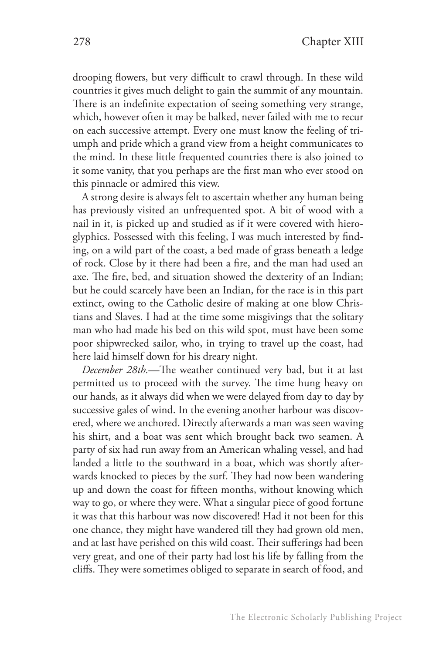drooping flowers, but very difficult to crawl through. In these wild countries it gives much delight to gain the summit of any mountain. There is an indefinite expectation of seeing something very strange, which, however often it may be balked, never failed with me to recur on each successive attempt. Every one must know the feeling of triumph and pride which a grand view from a height communicates to the mind. In these little frequented countries there is also joined to it some vanity, that you perhaps are the first man who ever stood on this pinnacle or admired this view.

A strong desire is always felt to ascertain whether any human being has previously visited an unfrequented spot. A bit of wood with a nail in it, is picked up and studied as if it were covered with hieroglyphics. Possessed with this feeling, I was much interested by finding, on a wild part of the coast, a bed made of grass beneath a ledge of rock. Close by it there had been a fire, and the man had used an axe. The fire, bed, and situation showed the dexterity of an Indian; but he could scarcely have been an Indian, for the race is in this part extinct, owing to the Catholic desire of making at one blow Christians and Slaves. I had at the time some misgivings that the solitary man who had made his bed on this wild spot, must have been some poor shipwrecked sailor, who, in trying to travel up the coast, had here laid himself down for his dreary night.

*December 28th.*—The weather continued very bad, but it at last permitted us to proceed with the survey. The time hung heavy on our hands, as it always did when we were delayed from day to day by successive gales of wind. In the evening another harbour was discovered, where we anchored. Directly afterwards a man was seen waving his shirt, and a boat was sent which brought back two seamen. A party of six had run away from an American whaling vessel, and had landed a little to the southward in a boat, which was shortly afterwards knocked to pieces by the surf. They had now been wandering up and down the coast for fifteen months, without knowing which way to go, or where they were. What a singular piece of good fortune it was that this harbour was now discovered! Had it not been for this one chance, they might have wandered till they had grown old men, and at last have perished on this wild coast. Their sufferings had been very great, and one of their party had lost his life by falling from the cliffs. They were sometimes obliged to separate in search of food, and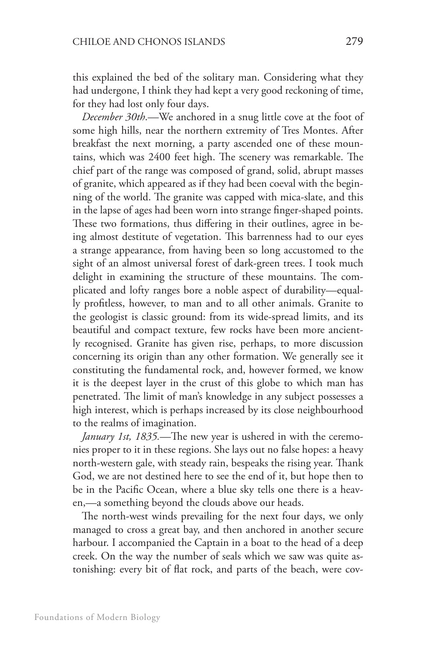this explained the bed of the solitary man. Considering what they had undergone, I think they had kept a very good reckoning of time, for they had lost only four days.

*December 30th*.—We anchored in a snug little cove at the foot of some high hills, near the northern extremity of Tres Montes. After breakfast the next morning, a party ascended one of these mountains, which was 2400 feet high. The scenery was remarkable. The chief part of the range was composed of grand, solid, abrupt masses of granite, which appeared as if they had been coeval with the beginning of the world. The granite was capped with mica-slate, and this in the lapse of ages had been worn into strange finger-shaped points. These two formations, thus differing in their outlines, agree in being almost destitute of vegetation. This barrenness had to our eyes a strange appearance, from having been so long accustomed to the sight of an almost universal forest of dark-green trees. I took much delight in examining the structure of these mountains. The complicated and lofty ranges bore a noble aspect of durability—equally profitless, however, to man and to all other animals. Granite to the geologist is classic ground: from its wide-spread limits, and its beautiful and compact texture, few rocks have been more anciently recognised. Granite has given rise, perhaps, to more discussion concerning its origin than any other formation. We generally see it constituting the fundamental rock, and, however formed, we know it is the deepest layer in the crust of this globe to which man has penetrated. The limit of man's knowledge in any subject possesses a high interest, which is perhaps increased by its close neighbourhood to the realms of imagination.

*January 1st, 1835.*—The new year is ushered in with the ceremonies proper to it in these regions. She lays out no false hopes: a heavy north-western gale, with steady rain, bespeaks the rising year. Thank God, we are not destined here to see the end of it, but hope then to be in the Pacific Ocean, where a blue sky tells one there is a heaven,—a something beyond the clouds above our heads.

The north-west winds prevailing for the next four days, we only managed to cross a great bay, and then anchored in another secure harbour. I accompanied the Captain in a boat to the head of a deep creek. On the way the number of seals which we saw was quite astonishing: every bit of flat rock, and parts of the beach, were cov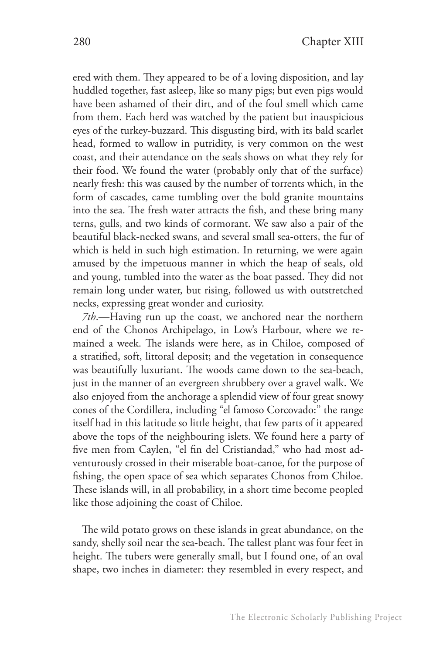ered with them. They appeared to be of a loving disposition, and lay huddled together, fast asleep, like so many pigs; but even pigs would have been ashamed of their dirt, and of the foul smell which came from them. Each herd was watched by the patient but inauspicious eyes of the turkey-buzzard. This disgusting bird, with its bald scarlet head, formed to wallow in putridity, is very common on the west coast, and their attendance on the seals shows on what they rely for their food. We found the water (probably only that of the surface) nearly fresh: this was caused by the number of torrents which, in the form of cascades, came tumbling over the bold granite mountains into the sea. The fresh water attracts the fish, and these bring many terns, gulls, and two kinds of cormorant. We saw also a pair of the beautiful black-necked swans, and several small sea-otters, the fur of which is held in such high estimation. In returning, we were again amused by the impetuous manner in which the heap of seals, old and young, tumbled into the water as the boat passed. They did not remain long under water, but rising, followed us with outstretched necks, expressing great wonder and curiosity.

*7th*.—Having run up the coast, we anchored near the northern end of the Chonos Archipelago, in Low's Harbour, where we remained a week. The islands were here, as in Chiloe, composed of a stratified, soft, littoral deposit; and the vegetation in consequence was beautifully luxuriant. The woods came down to the sea-beach, just in the manner of an evergreen shrubbery over a gravel walk. We also enjoyed from the anchorage a splendid view of four great snowy cones of the Cordillera, including "el famoso Corcovado:" the range itself had in this latitude so little height, that few parts of it appeared above the tops of the neighbouring islets. We found here a party of five men from Caylen, "el fin del Cristiandad," who had most adventurously crossed in their miserable boat-canoe, for the purpose of fishing, the open space of sea which separates Chonos from Chiloe. These islands will, in all probability, in a short time become peopled like those adjoining the coast of Chiloe.

The wild potato grows on these islands in great abundance, on the sandy, shelly soil near the sea-beach. The tallest plant was four feet in height. The tubers were generally small, but I found one, of an oval shape, two inches in diameter: they resembled in every respect, and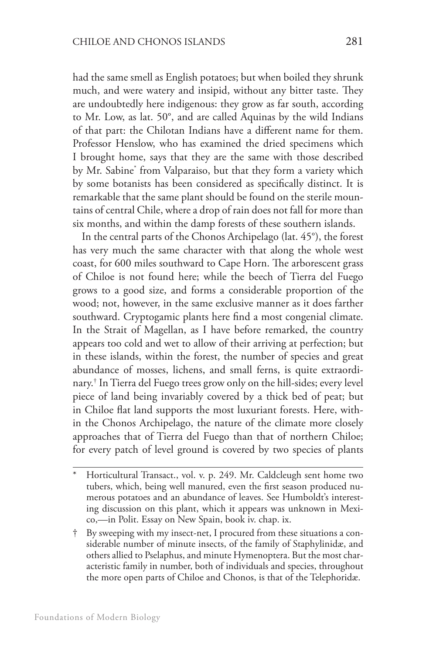had the same smell as English potatoes; but when boiled they shrunk much, and were watery and insipid, without any bitter taste. They are undoubtedly here indigenous: they grow as far south, according to Mr. Low, as lat. 50°, and are called Aquinas by the wild Indians of that part: the Chilotan Indians have a different name for them. Professor Henslow, who has examined the dried specimens which I brought home, says that they are the same with those described by Mr. Sabine\* from Valparaiso, but that they form a variety which by some botanists has been considered as specifically distinct. It is remarkable that the same plant should be found on the sterile mountains of central Chile, where a drop of rain does not fall for more than six months, and within the damp forests of these southern islands.

In the central parts of the Chonos Archipelago (lat. 45°), the forest has very much the same character with that along the whole west coast, for 600 miles southward to Cape Horn. The arborescent grass of Chiloe is not found here; while the beech of Tierra del Fuego grows to a good size, and forms a considerable proportion of the wood; not, however, in the same exclusive manner as it does farther southward. Cryptogamic plants here find a most congenial climate. In the Strait of Magellan, as I have before remarked, the country appears too cold and wet to allow of their arriving at perfection; but in these islands, within the forest, the number of species and great abundance of mosses, lichens, and small ferns, is quite extraordinary.† In Tierra del Fuego trees grow only on the hill-sides; every level piece of land being invariably covered by a thick bed of peat; but in Chiloe flat land supports the most luxuriant forests. Here, within the Chonos Archipelago, the nature of the climate more closely approaches that of Tierra del Fuego than that of northern Chiloe; for every patch of level ground is covered by two species of plants

Horticultural Transact., vol. v. p. 249. Mr. Caldcleugh sent home two tubers, which, being well manured, even the first season produced numerous potatoes and an abundance of leaves. See Humboldt's interesting discussion on this plant, which it appears was unknown in Mexico,—in Polit. Essay on New Spain, book iv. chap. ix.

By sweeping with my insect-net, I procured from these situations a considerable number of minute insects, of the family of Staphylinidæ, and others allied to Pselaphus, and minute Hymenoptera. But the most characteristic family in number, both of individuals and species, throughout the more open parts of Chiloe and Chonos, is that of the Telephoridæ.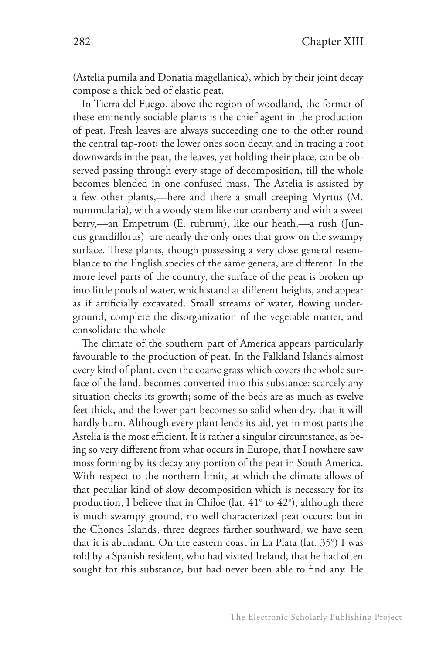(Astelia pumila and Donatia magellanica), which by their joint decay compose a thick bed of elastic peat.

In Tierra del Fuego, above the region of woodland, the former of these eminently sociable plants is the chief agent in the production of peat. Fresh leaves are always succeeding one to the other round the central tap-root; the lower ones soon decay, and in tracing a root downwards in the peat, the leaves, yet holding their place, can be observed passing through every stage of decomposition, till the whole becomes blended in one confused mass. The Astelia is assisted by a few other plants,—here and there a small creeping Myrtus (M. nummularia), with a woody stem like our cranberry and with a sweet berry,—an Empetrum (E. rubrum), like our heath,—a rush (Juncus grandiflorus), are nearly the only ones that grow on the swampy surface. These plants, though possessing a very close general resemblance to the English species of the same genera, are different. In the more level parts of the country, the surface of the peat is broken up into little pools of water, which stand at different heights, and appear as if artificially excavated. Small streams of water, flowing underground, complete the disorganization of the vegetable matter, and consolidate the whole

The climate of the southern part of America appears particularly favourable to the production of peat. In the Falkland Islands almost every kind of plant, even the coarse grass which covers the whole surface of the land, becomes converted into this substance: scarcely any situation checks its growth; some of the beds are as much as twelve feet thick, and the lower part becomes so solid when dry, that it will hardly burn. Although every plant lends its aid, yet in most parts the Astelia is the most efficient. It is rather a singular circumstance, as being so very different from what occurs in Europe, that I nowhere saw moss forming by its decay any portion of the peat in South America. With respect to the northern limit, at which the climate allows of that peculiar kind of slow decomposition which is necessary for its production, I believe that in Chiloe (lat. 41° to 42°), although there is much swampy ground, no well characterized peat occurs: but in the Chonos Islands, three degrees farther southward, we have seen that it is abundant. On the eastern coast in La Plata (lat. 35°) I was told by a Spanish resident, who had visited Ireland, that he had often sought for this substance, but had never been able to find any. He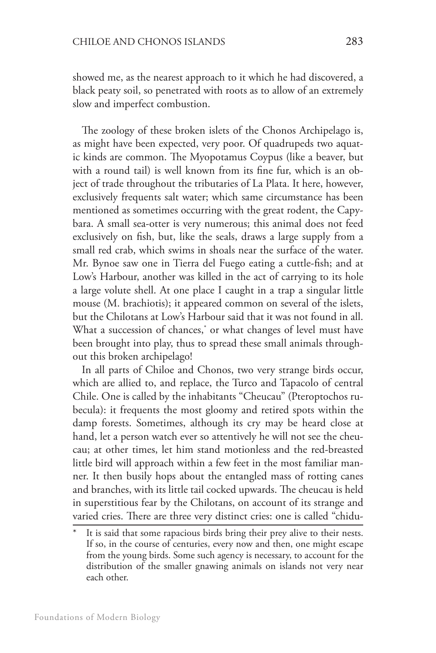showed me, as the nearest approach to it which he had discovered, a black peaty soil, so penetrated with roots as to allow of an extremely slow and imperfect combustion.

The zoology of these broken islets of the Chonos Archipelago is, as might have been expected, very poor. Of quadrupeds two aquatic kinds are common. The Myopotamus Coypus (like a beaver, but with a round tail) is well known from its fine fur, which is an object of trade throughout the tributaries of La Plata. It here, however, exclusively frequents salt water; which same circumstance has been mentioned as sometimes occurring with the great rodent, the Capybara. A small sea-otter is very numerous; this animal does not feed exclusively on fish, but, like the seals, draws a large supply from a small red crab, which swims in shoals near the surface of the water. Mr. Bynoe saw one in Tierra del Fuego eating a cuttle-fish; and at Low's Harbour, another was killed in the act of carrying to its hole a large volute shell. At one place I caught in a trap a singular little mouse (M. brachiotis); it appeared common on several of the islets, but the Chilotans at Low's Harbour said that it was not found in all. What a succession of chances,\* or what changes of level must have been brought into play, thus to spread these small animals throughout this broken archipelago!

In all parts of Chiloe and Chonos, two very strange birds occur, which are allied to, and replace, the Turco and Tapacolo of central Chile. One is called by the inhabitants "Cheucau" (Pteroptochos rubecula): it frequents the most gloomy and retired spots within the damp forests. Sometimes, although its cry may be heard close at hand, let a person watch ever so attentively he will not see the cheucau; at other times, let him stand motionless and the red-breasted little bird will approach within a few feet in the most familiar manner. It then busily hops about the entangled mass of rotting canes and branches, with its little tail cocked upwards. The cheucau is held in superstitious fear by the Chilotans, on account of its strange and varied cries. There are three very distinct cries: one is called "chidu-

It is said that some rapacious birds bring their prey alive to their nests. If so, in the course of centuries, every now and then, one might escape from the young birds. Some such agency is necessary, to account for the distribution of the smaller gnawing animals on islands not very near each other.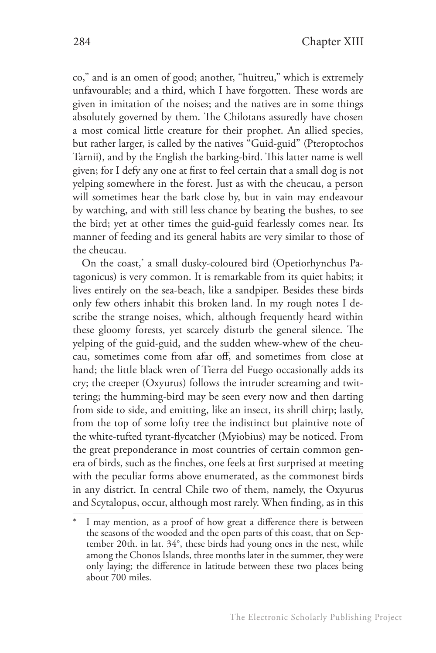co," and is an omen of good; another, "huitreu," which is extremely unfavourable; and a third, which I have forgotten. These words are given in imitation of the noises; and the natives are in some things absolutely governed by them. The Chilotans assuredly have chosen a most comical little creature for their prophet. An allied species, but rather larger, is called by the natives "Guid-guid" (Pteroptochos Tarnii), and by the English the barking-bird. This latter name is well given; for I defy any one at first to feel certain that a small dog is not yelping somewhere in the forest. Just as with the cheucau, a person will sometimes hear the bark close by, but in vain may endeavour by watching, and with still less chance by beating the bushes, to see the bird; yet at other times the guid-guid fearlessly comes near. Its manner of feeding and its general habits are very similar to those of the cheucau.

On the coast,\* a small dusky-coloured bird (Opetiorhynchus Patagonicus) is very common. It is remarkable from its quiet habits; it lives entirely on the sea-beach, like a sandpiper. Besides these birds only few others inhabit this broken land. In my rough notes I describe the strange noises, which, although frequently heard within these gloomy forests, yet scarcely disturb the general silence. The yelping of the guid-guid, and the sudden whew-whew of the cheucau, sometimes come from afar off, and sometimes from close at hand; the little black wren of Tierra del Fuego occasionally adds its cry; the creeper (Oxyurus) follows the intruder screaming and twittering; the humming-bird may be seen every now and then darting from side to side, and emitting, like an insect, its shrill chirp; lastly, from the top of some lofty tree the indistinct but plaintive note of the white-tufted tyrant-flycatcher (Myiobius) may be noticed. From the great preponderance in most countries of certain common genera of birds, such as the finches, one feels at first surprised at meeting with the peculiar forms above enumerated, as the commonest birds in any district. In central Chile two of them, namely, the Oxyurus and Scytalopus, occur, although most rarely. When finding, as in this

I may mention, as a proof of how great a difference there is between the seasons of the wooded and the open parts of this coast, that on September 20th. in lat. 34°, these birds had young ones in the nest, while among the Chonos Islands, three months later in the summer, they were only laying; the difference in latitude between these two places being about 700 miles.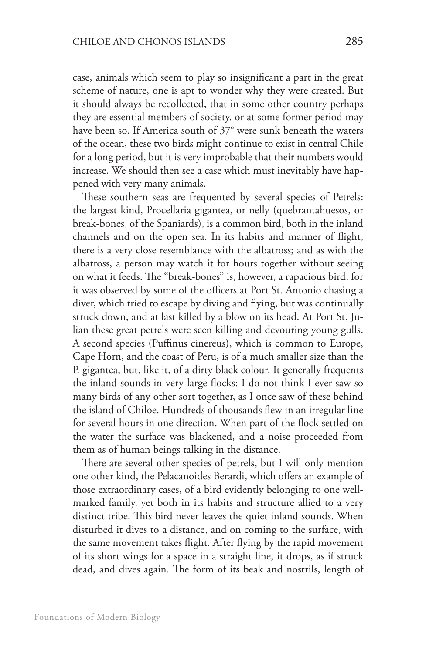case, animals which seem to play so insignificant a part in the great scheme of nature, one is apt to wonder why they were created. But it should always be recollected, that in some other country perhaps they are essential members of society, or at some former period may have been so. If America south of 37° were sunk beneath the waters of the ocean, these two birds might continue to exist in central Chile for a long period, but it is very improbable that their numbers would increase. We should then see a case which must inevitably have happened with very many animals.

These southern seas are frequented by several species of Petrels: the largest kind, Procellaria gigantea, or nelly (quebrantahuesos, or break-bones, of the Spaniards), is a common bird, both in the inland channels and on the open sea. In its habits and manner of flight, there is a very close resemblance with the albatross; and as with the albatross, a person may watch it for hours together without seeing on what it feeds. The "break-bones" is, however, a rapacious bird, for it was observed by some of the officers at Port St. Antonio chasing a diver, which tried to escape by diving and flying, but was continually struck down, and at last killed by a blow on its head. At Port St. Julian these great petrels were seen killing and devouring young gulls. A second species (Puffinus cinereus), which is common to Europe, Cape Horn, and the coast of Peru, is of a much smaller size than the P. gigantea, but, like it, of a dirty black colour. It generally frequents the inland sounds in very large flocks: I do not think I ever saw so many birds of any other sort together, as I once saw of these behind the island of Chiloe. Hundreds of thousands flew in an irregular line for several hours in one direction. When part of the flock settled on the water the surface was blackened, and a noise proceeded from them as of human beings talking in the distance.

There are several other species of petrels, but I will only mention one other kind, the Pelacanoides Berardi, which offers an example of those extraordinary cases, of a bird evidently belonging to one wellmarked family, yet both in its habits and structure allied to a very distinct tribe. This bird never leaves the quiet inland sounds. When disturbed it dives to a distance, and on coming to the surface, with the same movement takes flight. After flying by the rapid movement of its short wings for a space in a straight line, it drops, as if struck dead, and dives again. The form of its beak and nostrils, length of